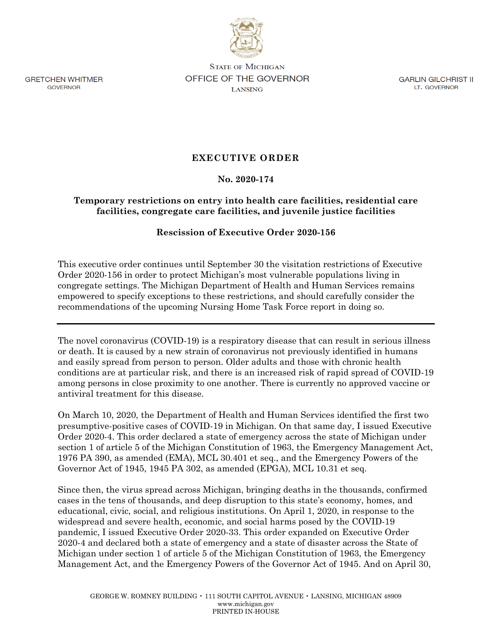

**GRETCHEN WHITMER GOVERNOR** 

**STATE OF MICHIGAN** OFFICE OF THE GOVERNOR **LANSING** 

**GARLIN GILCHRIST II** LT. GOVERNOR

## **EXECUTIVE ORDER**

## **No. 2020-174**

## **Temporary restrictions on entry into health care facilities, residential care facilities, congregate care facilities, and juvenile justice facilities**

## **Rescission of Executive Order 2020-156**

This executive order continues until September 30 the visitation restrictions of Executive Order 2020-156 in order to protect Michigan's most vulnerable populations living in congregate settings. The Michigan Department of Health and Human Services remains empowered to specify exceptions to these restrictions, and should carefully consider the recommendations of the upcoming Nursing Home Task Force report in doing so.

The novel coronavirus (COVID-19) is a respiratory disease that can result in serious illness or death. It is caused by a new strain of coronavirus not previously identified in humans and easily spread from person to person. Older adults and those with chronic health conditions are at particular risk, and there is an increased risk of rapid spread of COVID-19 among persons in close proximity to one another. There is currently no approved vaccine or antiviral treatment for this disease.

On March 10, 2020, the Department of Health and Human Services identified the first two presumptive-positive cases of COVID-19 in Michigan. On that same day, I issued Executive Order 2020-4. This order declared a state of emergency across the state of Michigan under section 1 of article 5 of the Michigan Constitution of 1963, the Emergency Management Act, 1976 PA 390, as amended (EMA), MCL 30.401 et seq., and the Emergency Powers of the Governor Act of 1945, 1945 PA 302, as amended (EPGA), MCL 10.31 et seq.

Since then, the virus spread across Michigan, bringing deaths in the thousands, confirmed cases in the tens of thousands, and deep disruption to this state's economy, homes, and educational, civic, social, and religious institutions. On April 1, 2020, in response to the widespread and severe health, economic, and social harms posed by the COVID-19 pandemic, I issued Executive Order 2020-33. This order expanded on Executive Order 2020-4 and declared both a state of emergency and a state of disaster across the State of Michigan under section 1 of article 5 of the Michigan Constitution of 1963, the Emergency Management Act, and the Emergency Powers of the Governor Act of 1945. And on April 30,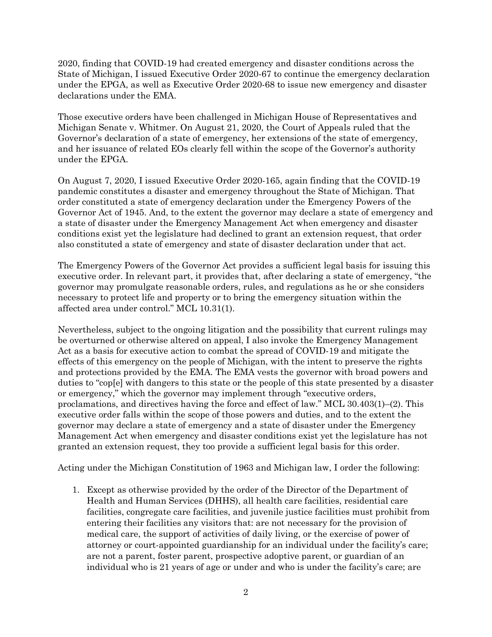2020, finding that COVID-19 had created emergency and disaster conditions across the State of Michigan, I issued Executive Order 2020-67 to continue the emergency declaration under the EPGA, as well as Executive Order 2020-68 to issue new emergency and disaster declarations under the EMA.

Those executive orders have been challenged in Michigan House of Representatives and Michigan Senate v. Whitmer. On August 21, 2020, the Court of Appeals ruled that the Governor's declaration of a state of emergency, her extensions of the state of emergency, and her issuance of related EOs clearly fell within the scope of the Governor's authority under the EPGA.

On August 7, 2020, I issued Executive Order 2020-165, again finding that the COVID-19 pandemic constitutes a disaster and emergency throughout the State of Michigan. That order constituted a state of emergency declaration under the Emergency Powers of the Governor Act of 1945. And, to the extent the governor may declare a state of emergency and a state of disaster under the Emergency Management Act when emergency and disaster conditions exist yet the legislature had declined to grant an extension request, that order also constituted a state of emergency and state of disaster declaration under that act.

The Emergency Powers of the Governor Act provides a sufficient legal basis for issuing this executive order. In relevant part, it provides that, after declaring a state of emergency, "the governor may promulgate reasonable orders, rules, and regulations as he or she considers necessary to protect life and property or to bring the emergency situation within the affected area under control." MCL 10.31(1).

Nevertheless, subject to the ongoing litigation and the possibility that current rulings may be overturned or otherwise altered on appeal, I also invoke the Emergency Management Act as a basis for executive action to combat the spread of COVID-19 and mitigate the effects of this emergency on the people of Michigan, with the intent to preserve the rights and protections provided by the EMA. The EMA vests the governor with broad powers and duties to "cop[e] with dangers to this state or the people of this state presented by a disaster or emergency," which the governor may implement through "executive orders, proclamations, and directives having the force and effect of law." MCL 30.403(1)–(2). This executive order falls within the scope of those powers and duties, and to the extent the governor may declare a state of emergency and a state of disaster under the Emergency Management Act when emergency and disaster conditions exist yet the legislature has not granted an extension request, they too provide a sufficient legal basis for this order.

Acting under the Michigan Constitution of 1963 and Michigan law, I order the following:

1. Except as otherwise provided by the order of the Director of the Department of Health and Human Services (DHHS), all health care facilities, residential care facilities, congregate care facilities, and juvenile justice facilities must prohibit from entering their facilities any visitors that: are not necessary for the provision of medical care, the support of activities of daily living, or the exercise of power of attorney or court-appointed guardianship for an individual under the facility's care; are not a parent, foster parent, prospective adoptive parent, or guardian of an individual who is 21 years of age or under and who is under the facility's care; are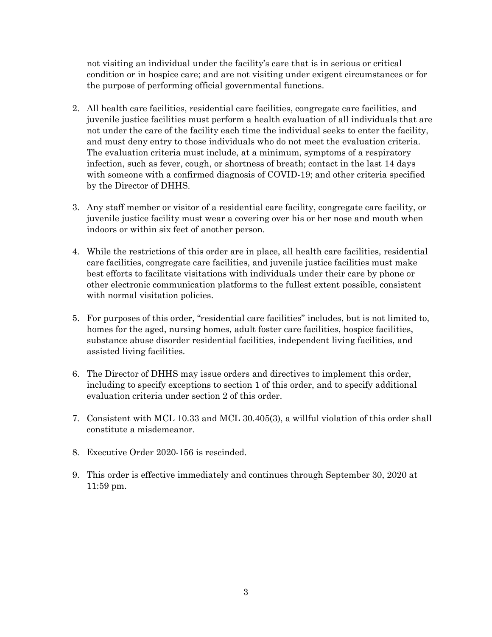not visiting an individual under the facility's care that is in serious or critical condition or in hospice care; and are not visiting under exigent circumstances or for the purpose of performing official governmental functions.

- 2. All health care facilities, residential care facilities, congregate care facilities, and juvenile justice facilities must perform a health evaluation of all individuals that are not under the care of the facility each time the individual seeks to enter the facility, and must deny entry to those individuals who do not meet the evaluation criteria. The evaluation criteria must include, at a minimum, symptoms of a respiratory infection, such as fever, cough, or shortness of breath; contact in the last 14 days with someone with a confirmed diagnosis of COVID-19; and other criteria specified by the Director of DHHS.
- 3. Any staff member or visitor of a residential care facility, congregate care facility, or juvenile justice facility must wear a covering over his or her nose and mouth when indoors or within six feet of another person.
- 4. While the restrictions of this order are in place, all health care facilities, residential care facilities, congregate care facilities, and juvenile justice facilities must make best efforts to facilitate visitations with individuals under their care by phone or other electronic communication platforms to the fullest extent possible, consistent with normal visitation policies.
- 5. For purposes of this order, "residential care facilities" includes, but is not limited to, homes for the aged, nursing homes, adult foster care facilities, hospice facilities, substance abuse disorder residential facilities, independent living facilities, and assisted living facilities.
- 6. The Director of DHHS may issue orders and directives to implement this order, including to specify exceptions to section 1 of this order, and to specify additional evaluation criteria under section 2 of this order.
- 7. Consistent with MCL 10.33 and MCL 30.405(3), a willful violation of this order shall constitute a misdemeanor.
- 8. Executive Order 2020-156 is rescinded.
- 9. This order is effective immediately and continues through September 30, 2020 at 11:59 pm.